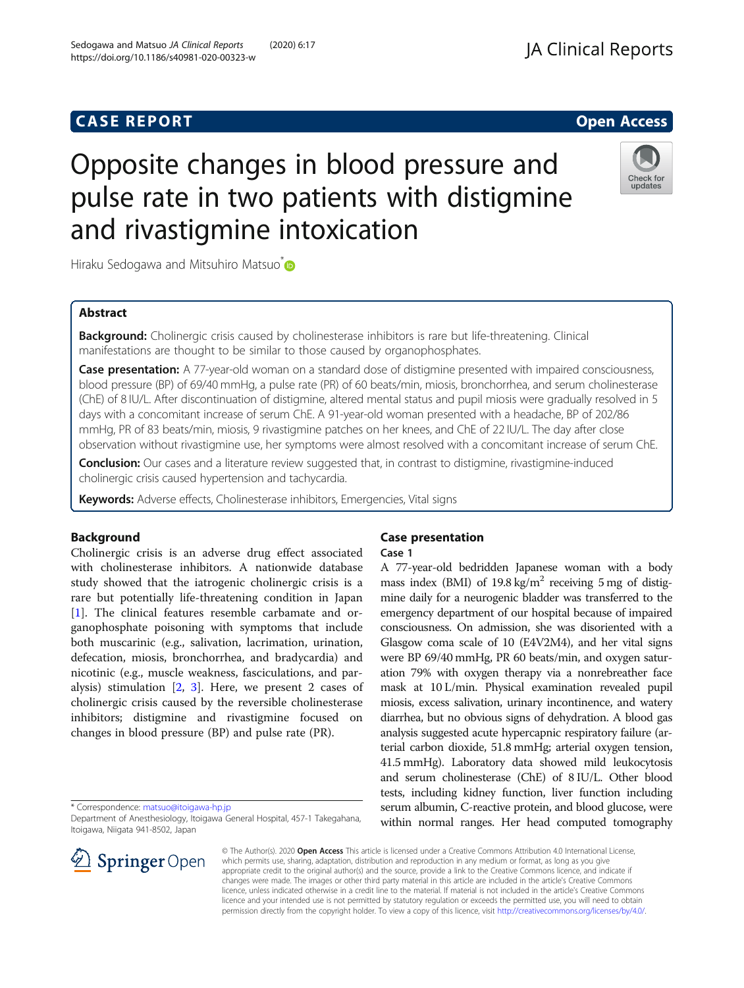## **CASE REPORT And SERVICE SERVICE SERVICE SERVICE SERVICE SERVICE SERVICE SERVICE SERVICE SERVICE SERVICE SERVICE**

# Opposite changes in blood pressure and pulse rate in two patients with distigmine and rivastigmine intoxication

Hiraku Sedogawa and Mitsuhiro Matsuo<sup>\*</sup>

## Abstract

**Background:** Cholinergic crisis caused by cholinesterase inhibitors is rare but life-threatening. Clinical manifestations are thought to be similar to those caused by organophosphates.

Case presentation: A 77-year-old woman on a standard dose of distigmine presented with impaired consciousness, blood pressure (BP) of 69/40 mmHg, a pulse rate (PR) of 60 beats/min, miosis, bronchorrhea, and serum cholinesterase (ChE) of 8 IU/L. After discontinuation of distigmine, altered mental status and pupil miosis were gradually resolved in 5 days with a concomitant increase of serum ChE. A 91-year-old woman presented with a headache, BP of 202/86 mmHg, PR of 83 beats/min, miosis, 9 rivastigmine patches on her knees, and ChE of 22 IU/L. The day after close observation without rivastigmine use, her symptoms were almost resolved with a concomitant increase of serum ChE.

Conclusion: Our cases and a literature review suggested that, in contrast to distigmine, rivastigmine-induced cholinergic crisis caused hypertension and tachycardia.

Keywords: Adverse effects, Cholinesterase inhibitors, Emergencies, Vital signs

### Background

Cholinergic crisis is an adverse drug effect associated with cholinesterase inhibitors. A nationwide database study showed that the iatrogenic cholinergic crisis is a rare but potentially life-threatening condition in Japan [[1\]](#page-3-0). The clinical features resemble carbamate and organophosphate poisoning with symptoms that include both muscarinic (e.g., salivation, lacrimation, urination, defecation, miosis, bronchorrhea, and bradycardia) and nicotinic (e.g., muscle weakness, fasciculations, and paralysis) stimulation  $[2, 3]$  $[2, 3]$  $[2, 3]$  $[2, 3]$ . Here, we present 2 cases of cholinergic crisis caused by the reversible cholinesterase inhibitors; distigmine and rivastigmine focused on changes in blood pressure (BP) and pulse rate (PR).

\* Correspondence: [matsuo@itoigawa-hp.jp](mailto:matsuo@itoigawa-hp.jp)

Department of Anesthesiology, Itoigawa General Hospital, 457-1 Takegahana, Itoigawa, Niigata 941-8502, Japan

## Case presentation

#### Case 1

A 77-year-old bedridden Japanese woman with a body mass index (BMI) of  $19.8 \text{ kg/m}^2$  receiving 5 mg of distigmine daily for a neurogenic bladder was transferred to the emergency department of our hospital because of impaired consciousness. On admission, she was disoriented with a Glasgow coma scale of 10 (E4V2M4), and her vital signs were BP 69/40 mmHg, PR 60 beats/min, and oxygen saturation 79% with oxygen therapy via a nonrebreather face mask at 10 L/min. Physical examination revealed pupil miosis, excess salivation, urinary incontinence, and watery diarrhea, but no obvious signs of dehydration. A blood gas analysis suggested acute hypercapnic respiratory failure (arterial carbon dioxide, 51.8 mmHg; arterial oxygen tension, 41.5 mmHg). Laboratory data showed mild leukocytosis and serum cholinesterase (ChE) of 8 IU/L. Other blood tests, including kidney function, liver function including serum albumin, C-reactive protein, and blood glucose, were within normal ranges. Her head computed tomography

© The Author(s). 2020 Open Access This article is licensed under a Creative Commons Attribution 4.0 International License, which permits use, sharing, adaptation, distribution and reproduction in any medium or format, as long as you give appropriate credit to the original author(s) and the source, provide a link to the Creative Commons licence, and indicate if changes were made. The images or other third party material in this article are included in the article's Creative Commons licence, unless indicated otherwise in a credit line to the material. If material is not included in the article's Creative Commons licence and your intended use is not permitted by statutory regulation or exceeds the permitted use, you will need to obtain permission directly from the copyright holder. To view a copy of this licence, visit <http://creativecommons.org/licenses/by/4.0/>.





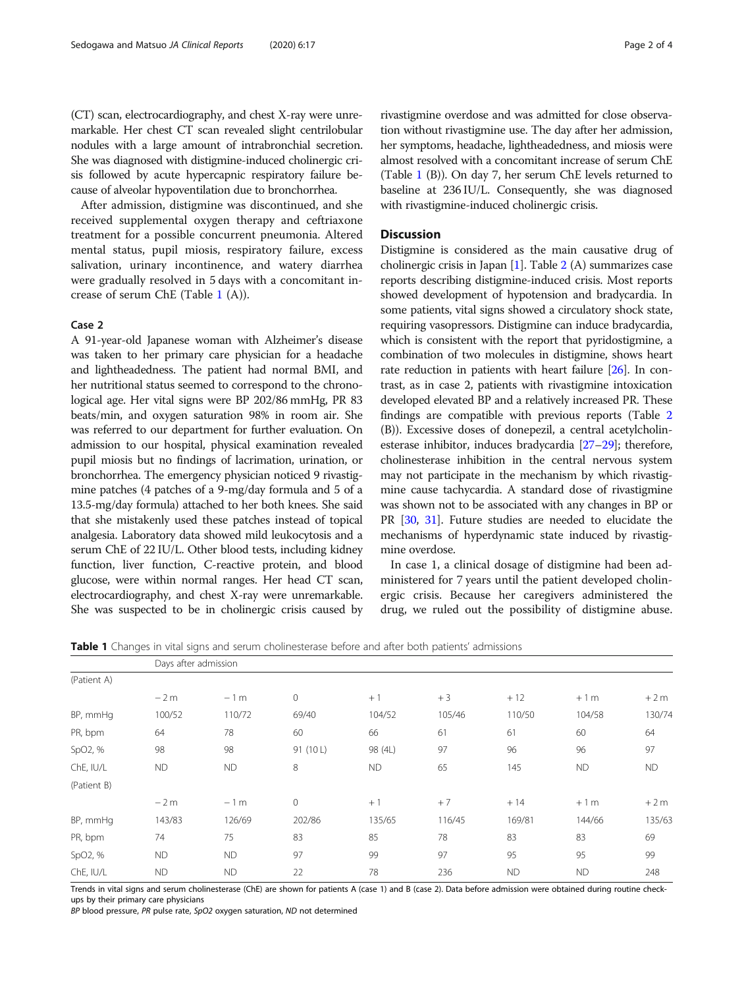(CT) scan, electrocardiography, and chest X-ray were unremarkable. Her chest CT scan revealed slight centrilobular nodules with a large amount of intrabronchial secretion. She was diagnosed with distigmine-induced cholinergic crisis followed by acute hypercapnic respiratory failure because of alveolar hypoventilation due to bronchorrhea.

After admission, distigmine was discontinued, and she received supplemental oxygen therapy and ceftriaxone treatment for a possible concurrent pneumonia. Altered mental status, pupil miosis, respiratory failure, excess salivation, urinary incontinence, and watery diarrhea were gradually resolved in 5 days with a concomitant increase of serum ChE (Table 1 (A)).

#### Case 2

A 91-year-old Japanese woman with Alzheimer's disease was taken to her primary care physician for a headache and lightheadedness. The patient had normal BMI, and her nutritional status seemed to correspond to the chronological age. Her vital signs were BP 202/86 mmHg, PR 83 beats/min, and oxygen saturation 98% in room air. She was referred to our department for further evaluation. On admission to our hospital, physical examination revealed pupil miosis but no findings of lacrimation, urination, or bronchorrhea. The emergency physician noticed 9 rivastigmine patches (4 patches of a 9-mg/day formula and 5 of a 13.5-mg/day formula) attached to her both knees. She said that she mistakenly used these patches instead of topical analgesia. Laboratory data showed mild leukocytosis and a serum ChE of 22 IU/L. Other blood tests, including kidney function, liver function, C-reactive protein, and blood glucose, were within normal ranges. Her head CT scan, electrocardiography, and chest X-ray were unremarkable. She was suspected to be in cholinergic crisis caused by

rivastigmine overdose and was admitted for close observation without rivastigmine use. The day after her admission, her symptoms, headache, lightheadedness, and miosis were almost resolved with a concomitant increase of serum ChE (Table 1 (B)). On day 7, her serum ChE levels returned to baseline at 236 IU/L. Consequently, she was diagnosed with rivastigmine-induced cholinergic crisis.

#### **Discussion**

Distigmine is considered as the main causative drug of cholinergic crisis in Japan [[1](#page-3-0)]. Table [2](#page-2-0) (A) summarizes case reports describing distigmine-induced crisis. Most reports showed development of hypotension and bradycardia. In some patients, vital signs showed a circulatory shock state, requiring vasopressors. Distigmine can induce bradycardia, which is consistent with the report that pyridostigmine, a combination of two molecules in distigmine, shows heart rate reduction in patients with heart failure [[26](#page-3-0)]. In contrast, as in case 2, patients with rivastigmine intoxication developed elevated BP and a relatively increased PR. These findings are compatible with previous reports (Table [2](#page-2-0) (B)). Excessive doses of donepezil, a central acetylcholinesterase inhibitor, induces bradycardia [[27](#page-3-0)–[29\]](#page-3-0); therefore, cholinesterase inhibition in the central nervous system may not participate in the mechanism by which rivastigmine cause tachycardia. A standard dose of rivastigmine was shown not to be associated with any changes in BP or PR [[30](#page-3-0), [31\]](#page-3-0). Future studies are needed to elucidate the mechanisms of hyperdynamic state induced by rivastigmine overdose.

In case 1, a clinical dosage of distigmine had been administered for 7 years until the patient developed cholinergic crisis. Because her caregivers administered the drug, we ruled out the possibility of distigmine abuse.

Table 1 Changes in vital signs and serum cholinesterase before and after both patients' admissions

|             | Days after admission |           |                |           |        |           |           |           |  |  |  |
|-------------|----------------------|-----------|----------------|-----------|--------|-----------|-----------|-----------|--|--|--|
| (Patient A) |                      |           |                |           |        |           |           |           |  |  |  |
|             | $-2m$                | $-1m$     | $\circ$        | $+1$      | $+3$   | $+12$     | $+1m$     | $+2m$     |  |  |  |
| BP, mmHg    | 100/52               | 110/72    | 69/40          | 104/52    | 105/46 | 110/50    | 104/58    | 130/74    |  |  |  |
| PR, bpm     | 64                   | 78        | 60             | 66        | 61     | 61        | 60        | 64        |  |  |  |
| SpO2, %     | 98                   | 98        | 91 (10L)       | 98 (4L)   | 97     | 96        | 96        | 97        |  |  |  |
| ChE, IU/L   | <b>ND</b>            | <b>ND</b> | 8              | <b>ND</b> | 65     | 145       | <b>ND</b> | <b>ND</b> |  |  |  |
| (Patient B) |                      |           |                |           |        |           |           |           |  |  |  |
|             | $-2m$                | $-1m$     | $\overline{0}$ | $+1$      | $+7$   | $+14$     | $+1m$     | $+2m$     |  |  |  |
| BP, mmHg    | 143/83               | 126/69    | 202/86         | 135/65    | 116/45 | 169/81    | 144/66    | 135/63    |  |  |  |
| PR, bpm     | 74                   | 75        | 83             | 85        | 78     | 83        | 83        | 69        |  |  |  |
| SpO2, %     | <b>ND</b>            | <b>ND</b> | 97             | 99        | 97     | 95        | 95        | 99        |  |  |  |
| ChE, IU/L   | <b>ND</b>            | <b>ND</b> | 22             | 78        | 236    | <b>ND</b> | <b>ND</b> | 248       |  |  |  |

Trends in vital signs and serum cholinesterase (ChE) are shown for patients A (case 1) and B (case 2). Data before admission were obtained during routine checkups by their primary care physicians

BP blood pressure, PR pulse rate, SpO2 oxygen saturation, ND not determined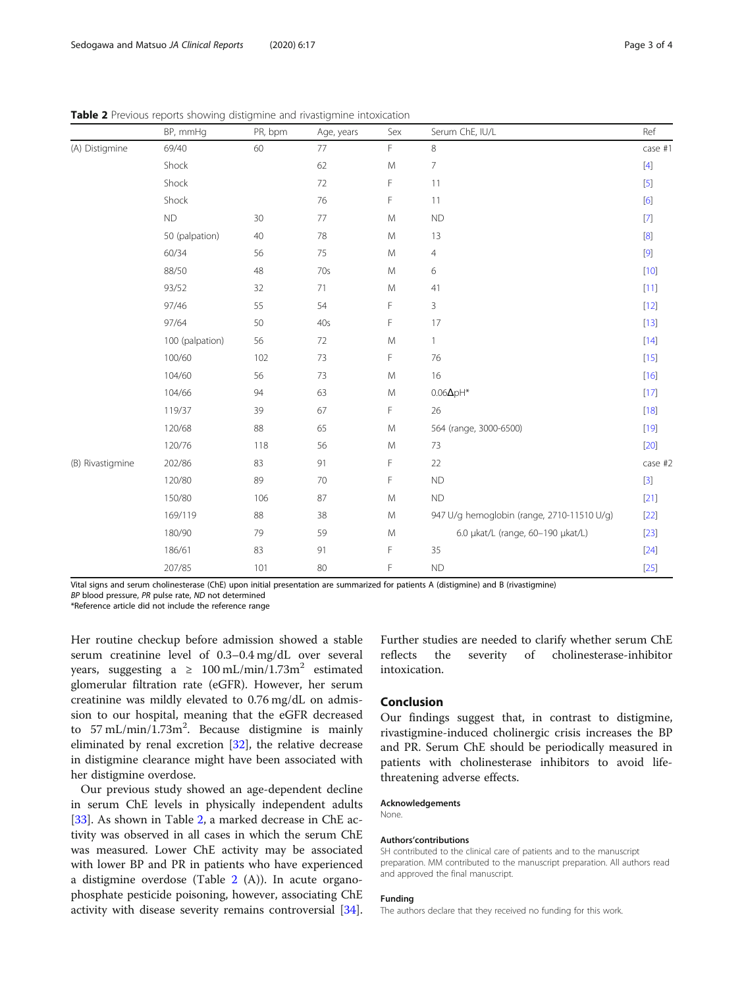<span id="page-2-0"></span>**Table 2** Previous reports showing distigmine and rivastigmine intoxication

|                  | BP, mmHg        | PR, bpm | Age, years | Sex         | Serum ChE, IU/L                            | Ref     |
|------------------|-----------------|---------|------------|-------------|--------------------------------------------|---------|
| (A) Distigmine   | 69/40           | 60      | 77         | F<br>8      |                                            | case #1 |
|                  | Shock           |         | 62         | ${\sf M}$   | $\overline{7}$                             | $[4]$   |
|                  | Shock           |         | 72         | $\mathsf F$ | 11                                         | $[5]$   |
|                  | Shock           |         | 76         | $\mathsf F$ | 11                                         | [6]     |
|                  | <b>ND</b>       | 30      | 77         | ${\sf M}$   | ${\sf ND}$                                 | $[7]$   |
|                  | 50 (palpation)  | 40      | 78         | ${\sf M}$   | 13                                         | $[8]$   |
|                  | 60/34           | 56      | 75         | ${\sf M}$   | $\overline{4}$                             |         |
|                  | 88/50           | 48      | 70s        | ${\sf M}$   | 6                                          | $[10]$  |
|                  | 93/52           | 32      | 71         | ${\sf M}$   | 41                                         | $[11]$  |
|                  | 97/46           | 55      | 54         | F           | 3                                          | $[12]$  |
|                  | 97/64           | 50      | 40s        | F           | 17                                         | $[13]$  |
|                  | 100 (palpation) | 56      | $72\,$     | ${\sf M}$   | 1                                          | $[14]$  |
|                  | 100/60          | 102     | 73         | F           | 76                                         | $[15]$  |
|                  | 104/60          | 56      | 73         | ${\sf M}$   | 16                                         | $[16]$  |
|                  | 104/66          | 94      | 63         | ${\sf M}$   | $0.06\Delta pH^*$                          | $[17]$  |
|                  | 119/37          | 39      | 67         | F           | 26                                         | $[18]$  |
|                  | 120/68          | 88      | 65         | ${\sf M}$   | 564 (range, 3000-6500)                     | $[19]$  |
|                  | 120/76          | 118     | 56         | ${\sf M}$   | 73                                         | $[20]$  |
| (B) Rivastigmine | 202/86          | 83      | 91         | F           | 22                                         | case #2 |
|                  | 120/80          | 89      | 70         | F           | ${\sf ND}$                                 | $[3]$   |
|                  | 150/80          | 106     | 87         | ${\sf M}$   | ${\sf ND}$                                 | $[21]$  |
|                  | 169/119         | 88      | 38         | ${\sf M}$   | 947 U/g hemoglobin (range, 2710-11510 U/g) | $[22]$  |
|                  | 180/90          | 79      | 59         | ${\sf M}$   | 6.0 µkat/L (range, 60-190 µkat/L)          | $[23]$  |
|                  | 186/61          | 83      | 91         | F           | 35                                         | $[24]$  |
|                  | 207/85          | 101     | 80         | F           | <b>ND</b>                                  | $[25]$  |

Vital signs and serum cholinesterase (ChE) upon initial presentation are summarized for patients A (distigmine) and B (rivastigmine)

BP blood pressure, PR pulse rate, ND not determined

\*Reference article did not include the reference range

Her routine checkup before admission showed a stable serum creatinine level of 0.3–0.4 mg/dL over several years, suggesting a  $\geq 100 \text{ mL/min}/1.73 \text{m}^2$  estimated glomerular filtration rate (eGFR). However, her serum creatinine was mildly elevated to 0.76 mg/dL on admission to our hospital, meaning that the eGFR decreased to  $57 \text{ mL/min}/1.73 \text{m}^2$ . Because distigmine is mainly eliminated by renal excretion [\[32](#page-3-0)], the relative decrease in distigmine clearance might have been associated with her distigmine overdose.

Our previous study showed an age-dependent decline in serum ChE levels in physically independent adults [[33\]](#page-3-0). As shown in Table 2, a marked decrease in ChE activity was observed in all cases in which the serum ChE was measured. Lower ChE activity may be associated with lower BP and PR in patients who have experienced a distigmine overdose (Table 2 (A)). In acute organophosphate pesticide poisoning, however, associating ChE activity with disease severity remains controversial [\[34](#page-3-0)]. Further studies are needed to clarify whether serum ChE reflects the severity of cholinesterase-inhibitor intoxication.

## Conclusion

Our findings suggest that, in contrast to distigmine, rivastigmine-induced cholinergic crisis increases the BP and PR. Serum ChE should be periodically measured in patients with cholinesterase inhibitors to avoid lifethreatening adverse effects.

#### Acknowledgements

None.

#### Authors'contributions

SH contributed to the clinical care of patients and to the manuscript preparation. MM contributed to the manuscript preparation. All authors read and approved the final manuscript.

#### Funding

The authors declare that they received no funding for this work.